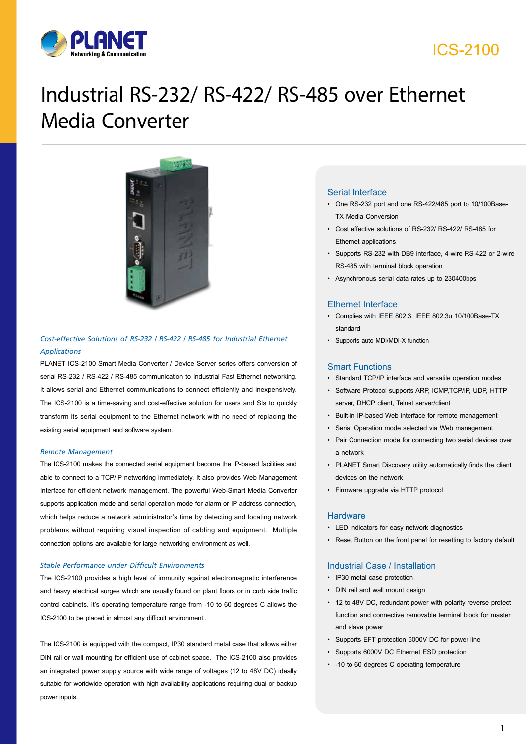

## ICS-2100

# Industrial RS-232/ RS-422/ RS-485 over Ethernet Media Converter



*Cost-effective Solutions of RS-232 / RS-422 / RS-485 for Industrial Ethernet Applications*

PLANET ICS-2100 Smart Media Converter / Device Server series offers conversion of serial RS-232 / RS-422 / RS-485 communication to Industrial Fast Ethernet networking. It allows serial and Ethernet communications to connect efficiently and inexpensively. The ICS-2100 is a time-saving and cost-effective solution for users and SIs to quickly transform its serial equipment to the Ethernet network with no need of replacing the existing serial equipment and software system.

#### *Remote Management*

The ICS-2100 makes the connected serial equipment become the IP-based facilities and able to connect to a TCP/IP networking immediately. It also provides Web Management Interface for efficient network management. The powerful Web-Smart Media Converter supports application mode and serial operation mode for alarm or IP address connection, which helps reduce a network administrator's time by detecting and locating network problems without requiring visual inspection of cabling and equipment. Multiple connection options are available for large networking environment as well.

#### *Stable Performance under Difficult Environments*

The ICS-2100 provides a high level of immunity against electromagnetic interference and heavy electrical surges which are usually found on plant floors or in curb side traffic control cabinets. It's operating temperature range from -10 to 60 degrees C allows the ICS-2100 to be placed in almost any difficult environment..

The ICS-2100 is equipped with the compact, IP30 standard metal case that allows either DIN rail or wall mounting for efficient use of cabinet space. The ICS-2100 also provides an integrated power supply source with wide range of voltages (12 to 48V DC) ideally suitable for worldwide operation with high availability applications requiring dual or backup power inputs.

#### Serial Interface

- One RS-232 port and one RS-422/485 port to 10/100Base-TX Media Conversion
- Cost effective solutions of RS-232/ RS-422/ RS-485 for Ethernet applications
- Supports RS-232 with DB9 interface, 4-wire RS-422 or 2-wire RS-485 with terminal block operation
- Asynchronous serial data rates up to 230400bps

#### Ethernet Interface

- Complies with IEEE 802.3, IEEE 802.3u 10/100Base-TX standard
- Supports auto MDI/MDI-X function

#### Smart Functions

- Standard TCP/IP interface and versatile operation modes
- Software Protocol supports ARP, ICMP,TCP/IP, UDP, HTTP server, DHCP client, Telnet server/client
- Built-in IP-based Web interface for remote management
- Serial Operation mode selected via Web management
- Pair Connection mode for connecting two serial devices over a network
- PLANET Smart Discovery utility automatically finds the client devices on the network
- Firmware upgrade via HTTP protocol

#### **Hardware**

- LED indicators for easy network diagnostics
- Reset Button on the front panel for resetting to factory default

#### Industrial Case / Installation

- IP30 metal case protection
- DIN rail and wall mount design
- 12 to 48V DC, redundant power with polarity reverse protect function and connective removable terminal block for master and slave power
- Supports EFT protection 6000V DC for power line
- Supports 6000V DC Ethernet ESD protection
- -10 to 60 degrees C operating temperature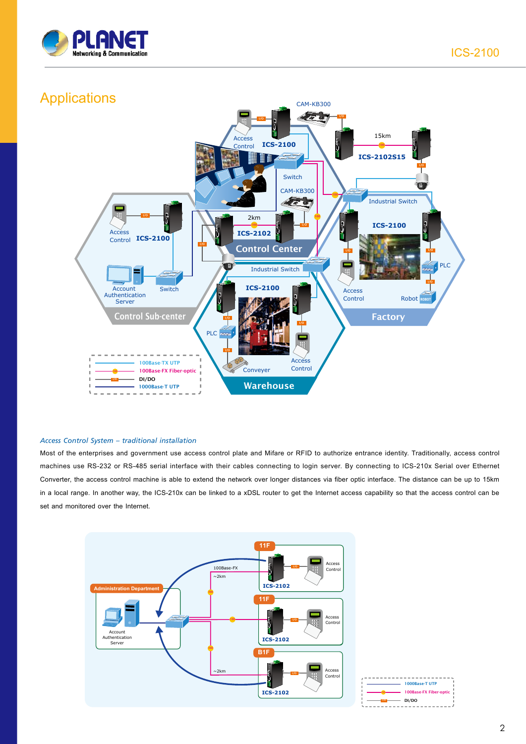



#### *Access Control System – traditional installation*

Most of the enterprises and government use access control plate and Mifare or RFID to authorize entrance identity. Traditionally, access control machines use RS-232 or RS-485 serial interface with their cables connecting to login server. By connecting to ICS-210x Serial over Ethernet Converter, the access control machine is able to extend the network over longer distances via fiber optic interface. The distance can be up to 15km in a local range. In another way, the ICS-210x can be linked to a xDSL router to get the Internet access capability so that the access control can be set and monitored over the Internet.

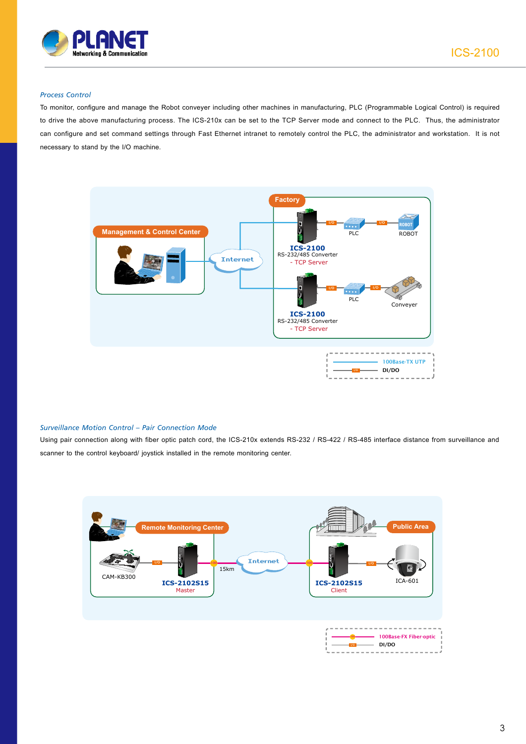

#### *Process Control*

To monitor, configure and manage the Robot conveyer including other machines in manufacturing, PLC (Programmable Logical Control) is required to drive the above manufacturing process. The ICS-210x can be set to the TCP Server mode and connect to the PLC. Thus, the administrator can configure and set command settings through Fast Ethernet intranet to remotely control the PLC, the administrator and workstation. It is not necessary to stand by the I/O machine.



#### *Surveillance Motion Control – Pair Connection Mode*

Using pair connection along with fiber optic patch cord, the ICS-210x extends RS-232 / RS-422 / RS-485 interface distance from surveillance and scanner to the control keyboard/ joystick installed in the remote monitoring center.

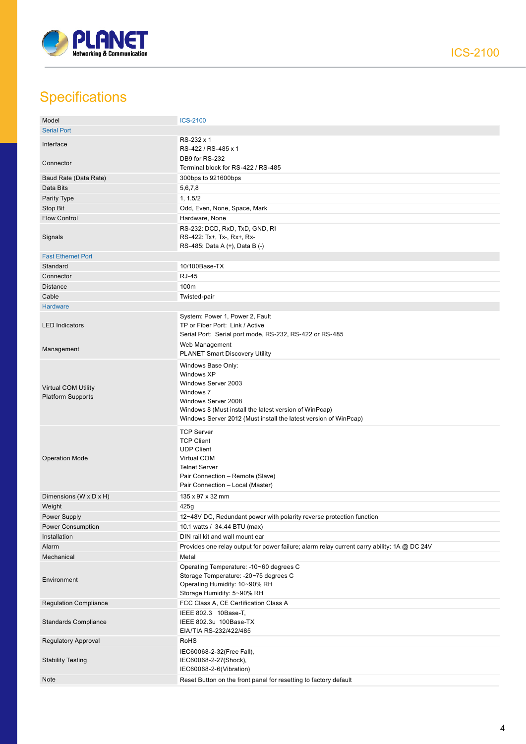

## **Specifications**

| Model                                                  | <b>ICS-2100</b>                                                                                                                                                                                                           |
|--------------------------------------------------------|---------------------------------------------------------------------------------------------------------------------------------------------------------------------------------------------------------------------------|
| <b>Serial Port</b>                                     |                                                                                                                                                                                                                           |
| Interface                                              | RS-232 x 1<br>RS-422 / RS-485 x 1                                                                                                                                                                                         |
| Connector                                              | DB9 for RS-232<br>Terminal block for RS-422 / RS-485                                                                                                                                                                      |
| Baud Rate (Data Rate)                                  | 300bps to 921600bps                                                                                                                                                                                                       |
| Data Bits                                              | 5,6,7,8                                                                                                                                                                                                                   |
| Parity Type                                            | 1, 1.5/2                                                                                                                                                                                                                  |
| Stop Bit                                               | Odd, Even, None, Space, Mark                                                                                                                                                                                              |
| <b>Flow Control</b>                                    | Hardware, None                                                                                                                                                                                                            |
| Signals                                                | RS-232: DCD, RxD, TxD, GND, RI<br>RS-422: Tx+, Tx-, Rx+, Rx-<br>RS-485: Data A (+), Data B (-)                                                                                                                            |
| <b>Fast Ethernet Port</b>                              |                                                                                                                                                                                                                           |
| Standard                                               | 10/100Base-TX                                                                                                                                                                                                             |
| Connector                                              | <b>RJ-45</b>                                                                                                                                                                                                              |
| <b>Distance</b>                                        | 100m                                                                                                                                                                                                                      |
| Cable                                                  | Twisted-pair                                                                                                                                                                                                              |
| <b>Hardware</b>                                        |                                                                                                                                                                                                                           |
| <b>LED Indicators</b>                                  | System: Power 1, Power 2, Fault<br>TP or Fiber Port: Link / Active<br>Serial Port: Serial port mode, RS-232, RS-422 or RS-485                                                                                             |
| Management                                             | Web Management<br><b>PLANET Smart Discovery Utility</b>                                                                                                                                                                   |
| <b>Virtual COM Utility</b><br><b>Platform Supports</b> | Windows Base Only:<br>Windows XP<br>Windows Server 2003<br>Windows 7<br>Windows Server 2008<br>Windows 8 (Must install the latest version of WinPcap)<br>Windows Server 2012 (Must install the latest version of WinPcap) |
| <b>Operation Mode</b>                                  | <b>TCP Server</b><br><b>TCP Client</b><br><b>UDP Client</b><br>Virtual COM<br><b>Telnet Server</b><br>Pair Connection - Remote (Slave)<br>Pair Connection - Local (Master)                                                |
| Dimensions (W x D x H)                                 | 135 x 97 x 32 mm                                                                                                                                                                                                          |
| Weight                                                 | 425g                                                                                                                                                                                                                      |
| Power Supply                                           | 12~48V DC, Redundant power with polarity reverse protection function                                                                                                                                                      |
| <b>Power Consumption</b>                               | 10.1 watts / 34.44 BTU (max)                                                                                                                                                                                              |
| Installation                                           | DIN rail kit and wall mount ear                                                                                                                                                                                           |
| Alarm                                                  | Provides one relay output for power failure; alarm relay current carry ability: 1A @ DC 24V                                                                                                                               |
| Mechanical                                             | Metal                                                                                                                                                                                                                     |
| Environment                                            | Operating Temperature: -10~60 degrees C<br>Storage Temperature: -20~75 degrees C<br>Operating Humidity: 10~90% RH<br>Storage Humidity: 5~90% RH                                                                           |
| <b>Regulation Compliance</b>                           | FCC Class A, CE Certification Class A                                                                                                                                                                                     |
| <b>Standards Compliance</b>                            | IEEE 802.3 10Base-T,<br>IEEE 802.3u 100Base-TX<br>EIA/TIA RS-232/422/485                                                                                                                                                  |
| <b>Regulatory Approval</b>                             | RoHS                                                                                                                                                                                                                      |
| <b>Stability Testing</b>                               | IEC60068-2-32(Free Fall),<br>IEC60068-2-27(Shock),<br>IEC60068-2-6(Vibration)                                                                                                                                             |
| <b>Note</b>                                            | Reset Button on the front panel for resetting to factory default                                                                                                                                                          |